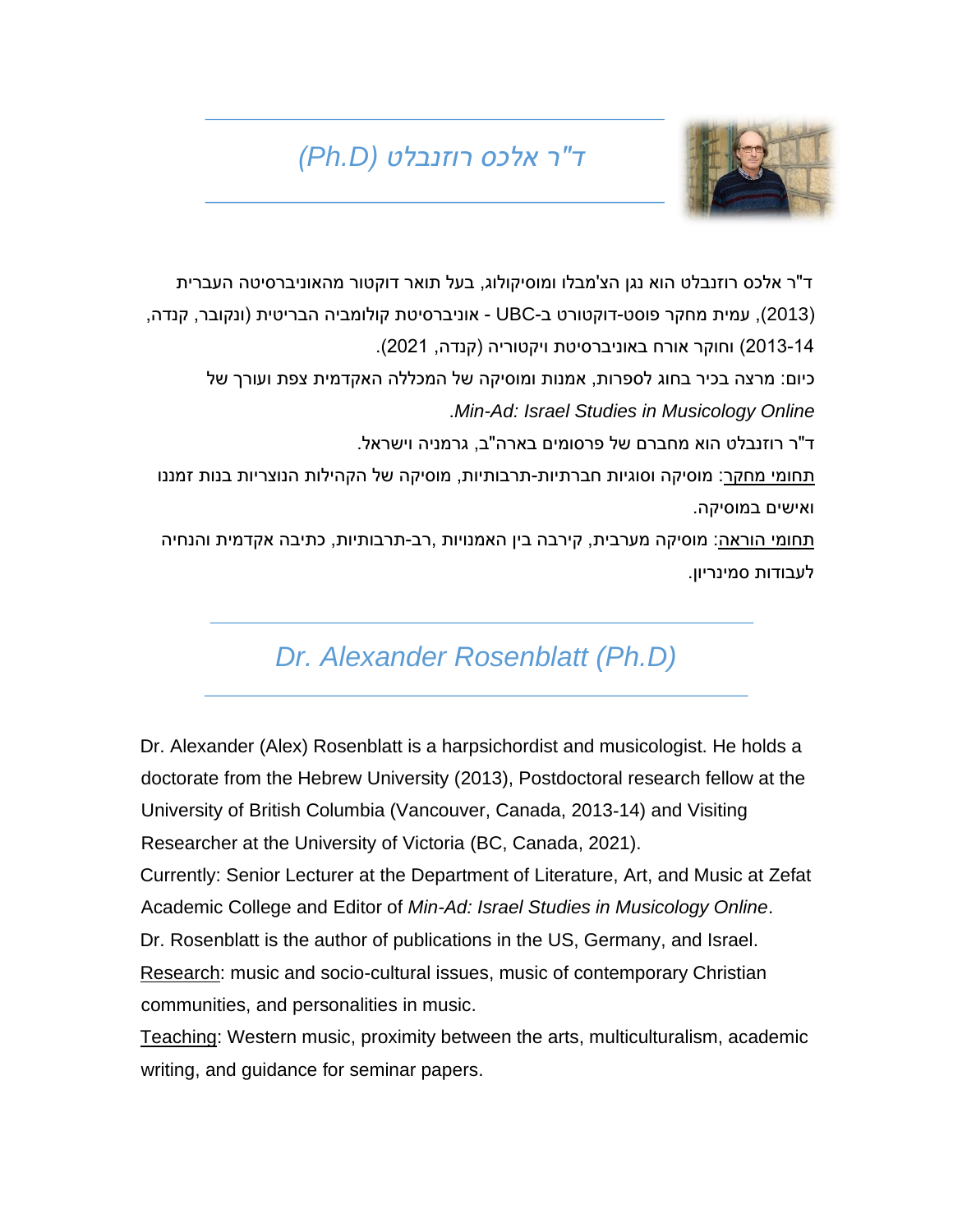## *ד"ר אלכס רוזנבלט )D.Ph)*

ד"ר אלכס רוזנבלט הוא נגן הצ'מבלו ומוסיקולוג, בעל תואר דוקטור מהאוניברסיטה העברית

)2013(, עמית מחקר פוסט-דוקטורט ב-UBC - אוניברסיטת קולומביה הבריטית )ונקובר, קנדה, 2013-14( וחוקר אורח באוניברסיטת ויקטוריה )קנדה, 2021(.

כיום: מרצה בכיר בחוג לספרות, אמנות ומוסיקה של המכללה האקדמית צפת ועורך של .*Min-Ad: Israel Studies in Musicology Online*

ד"ר רוזנבלט הוא מחברם של פרסומים בארה"ב, גרמניה וישראל.

תחומי מחקר: מוסיקה וסוגיות חברתיות-תרבותיות, מוסיקה של הקהילות הנוצריות בנות זמננו ואישים במוסיקה.

תחומי הוראה: מוסיקה מערבית, קירבה בין האמנויות ,רב-תרבותיות, כתיבה אקדמית והנחיה לעבודות סמינריון.

## *Dr. Alexander Rosenblatt (Ph.D)*

Dr. Alexander (Alex) Rosenblatt is a harpsichordist and musicologist. He holds a doctorate from the Hebrew University (2013), Postdoctoral research fellow at the University of British Columbia (Vancouver, Canada, 2013-14) and Visiting Researcher at the University of Victoria (BC, Canada, 2021). Currently: Senior Lecturer at the Department of Literature, Art, and Music at Zefat Academic College and Editor of *Min-Ad: Israel Studies in Musicology Online*. Dr. Rosenblatt is the author of publications in the US, Germany, and Israel. Research: music and socio-cultural issues, music of contemporary Christian communities, and personalities in music.

Teaching: Western music, proximity between the arts, multiculturalism, academic writing, and guidance for seminar papers.